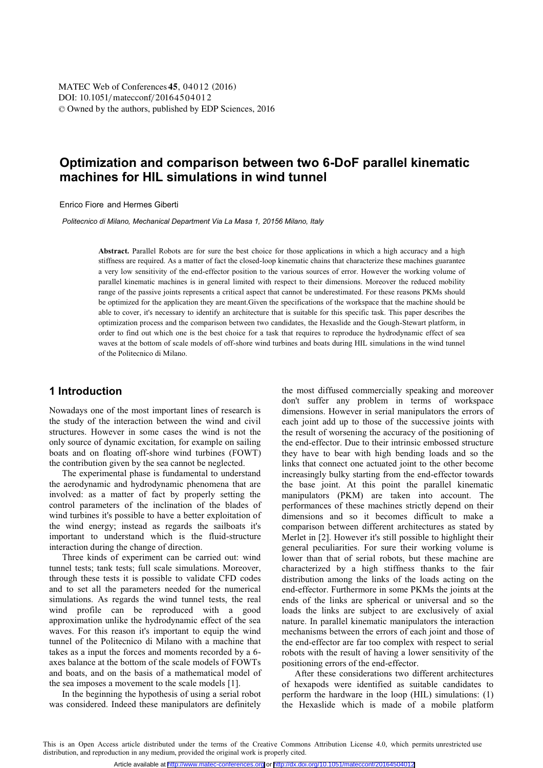[DOI: 10.1051](http://dx.doi.org/10.1051/matecconf/20164504012)/matecconf/20164504012 © Owned by the authors, published by [EDP Sciences,](http://www.edpsciences.org) 2016 MATEC [Web of Conferences](http://www.matec-conferences.org) 45, 04012 (2016)

# **Optimization and comparison between two 6-DoF parallel kinematic machines for HIL simulations in wind tunnel**

Enrico Fiore and Hermes Giberti

*Politecnico di Milano, Mechanical Department Via La Masa 1, 20156 Milano, Italy* 

**Abstract.** Parallel Robots are for sure the best choice for those applications in which a high accuracy and a high stiffness are required. As a matter of fact the closed-loop kinematic chains that characterize these machines guarantee a very low sensitivity of the end-effector position to the various sources of error. However the working volume of parallel kinematic machines is in general limited with respect to their dimensions. Moreover the reduced mobility range of the passive joints represents a critical aspect that cannot be underestimated. For these reasons PKMs should be optimized for the application they are meant.Given the specifications of the workspace that the machine should be able to cover, it's necessary to identify an architecture that is suitable for this specific task. This paper describes the optimization process and the comparison between two candidates, the Hexaslide and the Gough-Stewart platform, in order to find out which one is the best choice for a task that requires to reproduce the hydrodynamic effect of sea waves at the bottom of scale models of off-shore wind turbines and boats during HIL simulations in the wind tunnel of the Politecnico di Milano.

# **1 Introduction**

Nowadays one of the most important lines of research is the study of the interaction between the wind and civil structures. However in some cases the wind is not the only source of dynamic excitation, for example on sailing boats and on floating off-shore wind turbines (FOWT) the contribution given by the sea cannot be neglected.

The experimental phase is fundamental to understand the aerodynamic and hydrodynamic phenomena that are involved: as a matter of fact by properly setting the control parameters of the inclination of the blades of wind turbines it's possible to have a better exploitation of the wind energy; instead as regards the sailboats it's important to understand which is the fluid-structure interaction during the change of direction.

Three kinds of experiment can be carried out: wind tunnel tests; tank tests; full scale simulations. Moreover, through these tests it is possible to validate CFD codes and to set all the parameters needed for the numerical simulations. As regards the wind tunnel tests, the real wind profile can be reproduced with a good approximation unlike the hydrodynamic effect of the sea waves. For this reason it's important to equip the wind tunnel of the Politecnico di Milano with a machine that takes as a input the forces and moments recorded by a 6 axes balance at the bottom of the scale models of FOWTs and boats, and on the basis of a mathematical model of the sea imposes a movement to the scale models [1].

In the beginning the hypothesis of using a serial robot was considered. Indeed these manipulators are definitely

the most diffused commercially speaking and moreover don't suffer any problem in terms of workspace dimensions. However in serial manipulators the errors of each joint add up to those of the successive joints with the result of worsening the accuracy of the positioning of the end-effector. Due to their intrinsic embossed structure they have to bear with high bending loads and so the links that connect one actuated joint to the other become increasingly bulky starting from the end-effector towards the base joint. At this point the parallel kinematic manipulators (PKM) are taken into account. The performances of these machines strictly depend on their dimensions and so it becomes difficult to make a comparison between different architectures as stated by Merlet in [2]. However it's still possible to highlight their general peculiarities. For sure their working volume is lower than that of serial robots, but these machine are characterized by a high stiffness thanks to the fair distribution among the links of the loads acting on the end-effector. Furthermore in some PKMs the joints at the ends of the links are spherical or universal and so the loads the links are subject to are exclusively of axial nature. In parallel kinematic manipulators the interaction mechanisms between the errors of each joint and those of the end-effector are far too complex with respect to serial robots with the result of having a lower sensitivity of the positioning errors of the end-effector.

After these considerations two different architectures of hexapods were identified as suitable candidates to perform the hardware in the loop (HIL) simulations: (1) the Hexaslide which is made of a mobile platform

This is an Open Access article distributed under the terms of the [Creative Commons Attribution License 4.0,](http://creativecommons.org/licenses/by/4.0) which permits unrestricted use distribution, and reproduction in any medium, provided the original work is properly cited.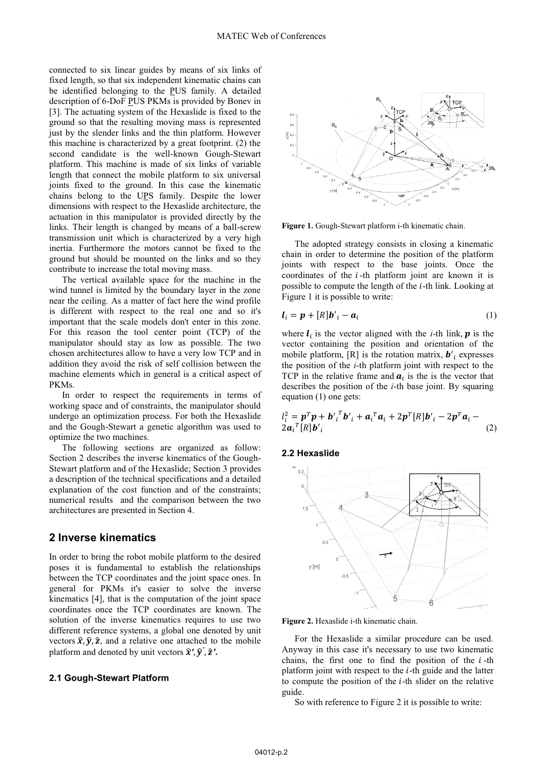connected to six linear guides by means of six links of fixed length, so that six independent kinematic chains can be identified belonging to the PUS family. A detailed description of 6-DoF PUS PKMs is provided by Bonev in [3]. The actuating system of the Hexaslide is fixed to the ground so that the resulting moving mass is represented just by the slender links and the thin platform. However this machine is characterized by a great footprint. (2) the second candidate is the well-known Gough-Stewart platform. This machine is made of six links of variable length that connect the mobile platform to six universal joints fixed to the ground. In this case the kinematic chains belong to the UPS family. Despite the lower dimensions with respect to the Hexaslide architecture, the actuation in this manipulator is provided directly by the links. Their length is changed by means of a ball-screw transmission unit which is characterized by a very high inertia. Furthermore the motors cannot be fixed to the ground but should be mounted on the links and so they contribute to increase the total moving mass.

The vertical available space for the machine in the wind tunnel is limited by the boundary layer in the zone near the ceiling. As a matter of fact here the wind profile is different with respect to the real one and so it's important that the scale models don't enter in this zone. For this reason the tool center point (TCP) of the manipulator should stay as low as possible. The two chosen architectures allow to have a very low TCP and in addition they avoid the risk of self collision between the machine elements which in general is a critical aspect of PKMs.

In order to respect the requirements in terms of working space and of constraints, the manipulator should undergo an optimization process. For both the Hexaslide and the Gough-Stewart a genetic algorithm was used to optimize the two machines.

The following sections are organized as follow: Section 2 describes the inverse kinematics of the Gough-Stewart platform and of the Hexaslide; Section 3 provides a description of the technical specifications and a detailed explanation of the cost function and of the constraints; numerical results and the comparison between the two architectures are presented in Section 4.

# **2 Inverse kinematics**

In order to bring the robot mobile platform to the desired poses it is fundamental to establish the relationships between the TCP coordinates and the joint space ones. In general for PKMs it's easier to solve the inverse kinematics [4], that is the computation of the joint space coordinates once the TCP coordinates are known. The solution of the inverse kinematics requires to use two different reference systems, a global one denoted by unit vectors  $\hat{\mathbf{x}}, \hat{\mathbf{y}}, \hat{\mathbf{z}}$ , and a relative one attached to the mobile platform and denoted by unit vectors  $\hat{\mathbf{x}}', \hat{\mathbf{y}}', \hat{\mathbf{z}}'.$ 

#### **2.1 Gough-Stewart Platform**



**Figure 1.** Gough-Stewart platform i-th kinematic chain.

The adopted strategy consists in closing a kinematic chain in order to determine the position of the platform joints with respect to the base joints. Once the coordinates of the  $i$ -th platform joint are known it is possible to compute the length of the  $i$ -th link. Looking at Figure 1 it is possible to write:

$$
l_i = p + [R]b'_{i} - a_i
$$
 (1)

where  $l_i$  is the vector aligned with the *i*-th link,  $p$  is the vector containing the position and orientation of the mobile platform,  $[R]$  is the rotation matrix,  $b<sub>i</sub>$  expresses the position of the *i*-th platform joint with respect to the TCP in the relative frame and  $a_i$  is the is the vector that describes the position of the *i*-th base joint. By squaring equation (1) one gets:

$$
l_i^2 = \boldsymbol{p}^T \boldsymbol{p} + \boldsymbol{b'}_i^T \boldsymbol{b'}_i + \boldsymbol{a}_i^T \boldsymbol{a}_i + 2 \boldsymbol{p}^T [R] \boldsymbol{b'}_i - 2 \boldsymbol{p}^T \boldsymbol{a}_i - 2 \boldsymbol{a}_i^T [R] \boldsymbol{b'}_i
$$
 (2)

## **2.2 Hexaslide**



**Figure 2.** Hexaslide i-th kinematic chain.

For the Hexaslide a similar procedure can be used. Anyway in this case it's necessary to use two kinematic chains, the first one to find the position of the  $i$ -th platform joint with respect to the  $i$ -th guide and the latter to compute the position of the  $i$ -th slider on the relative guide.

So with reference to Figure 2 it is possible to write: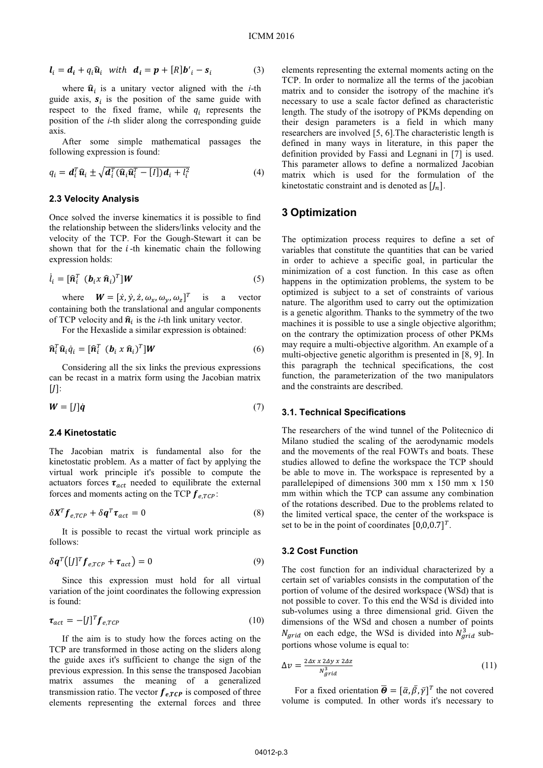$$
\boldsymbol{l}_i = \boldsymbol{d}_i + q_i \widehat{\boldsymbol{u}}_i \text{ with } \boldsymbol{d}_i = \boldsymbol{p} + [R] \boldsymbol{b}'_i - \boldsymbol{s}_i \tag{3}
$$

where  $\hat{u}_i$  is a unitary vector aligned with the *i*-th guide axis,  $s_i$  is the position of the same guide with respect to the fixed frame, while  $q_i$  represents the position of the *i*-th slider along the corresponding guide axis.

After some simple mathematical passages the following expression is found:

$$
q_i = \mathbf{d}_i^T \widehat{\mathbf{u}}_i \pm \sqrt{\mathbf{d}_i^T (\widehat{\mathbf{u}}_i \widehat{\mathbf{u}}_i^T - [I]) \mathbf{d}_i + l_i^2}
$$
(4)

#### **2.3 Velocity Analysis**

Once solved the inverse kinematics it is possible to find the relationship between the sliders/links velocity and the velocity of the TCP. For the Gough-Stewart it can be shown that for the  $i$ -th kinematic chain the following expression holds:

$$
\dot{l}_i = [\hat{\boldsymbol{n}}_i^T \ (\boldsymbol{b}_i \times \hat{\boldsymbol{n}}_i)^T] \boldsymbol{W} \tag{5}
$$

where  $\mathbf{W} = [\dot{x}, \dot{y}, \dot{z}, \omega_x, \omega_y, \omega_z]^T$  is a vector containing both the translational and angular components of TCP velocity and  $\hat{\mathbf{n}}_i$  is the *i*-th link unitary vector.

For the Hexaslide a similar expression is obtained:

$$
\widehat{\boldsymbol{n}}_i^T \widehat{\boldsymbol{u}}_i \dot{q}_i = [\widehat{\boldsymbol{n}}_i^T (\boldsymbol{b}_i \times \widehat{\boldsymbol{n}}_i)^T] \boldsymbol{W}
$$
\n(6)

Considering all the six links the previous expressions can be recast in a matrix form using the Jacobian matrix  $[I]$ :

$$
W = [J]\dot{q} \tag{7}
$$

#### **2.4 Kinetostatic**

The Jacobian matrix is fundamental also for the kinetostatic problem. As a matter of fact by applying the virtual work principle it's possible to compute the actuators forces  $\tau_{act}$  needed to equilibrate the external forces and moments acting on the TCP  $f_{e,TCP}$ :

$$
\delta \mathbf{X}^T \mathbf{f}_{e, TCP} + \delta \mathbf{q}^T \mathbf{\tau}_{act} = 0 \tag{8}
$$

It is possible to recast the virtual work principle as follows:

$$
\delta \mathbf{q}^T \big( [J]^T \mathbf{f}_{e, TCP} + \mathbf{\tau}_{act} \big) = 0 \tag{9}
$$

Since this expression must hold for all virtual variation of the joint coordinates the following expression is found:

$$
\tau_{act} = -[J]^T f_{e,TCP} \tag{10}
$$

If the aim is to study how the forces acting on the TCP are transformed in those acting on the sliders along the guide axes it's sufficient to change the sign of the previous expression. In this sense the transposed Jacobian matrix assumes the meaning of a generalized transmission ratio. The vector  $f_{e,TCP}$  is composed of three elements representing the external forces and three

elements representing the external moments acting on the TCP. In order to normalize all the terms of the jacobian matrix and to consider the isotropy of the machine it's necessary to use a scale factor defined as characteristic length. The study of the isotropy of PKMs depending on their design parameters is a field in which many researchers are involved [5, 6].The characteristic length is defined in many ways in literature, in this paper the definition provided by Fassi and Legnani in [7] is used. This parameter allows to define a normalized Jacobian matrix which is used for the formulation of the kinetostatic constraint and is denoted as  $[I_n]$ .

## **3 Optimization**

The optimization process requires to define a set of variables that constitute the quantities that can be varied in order to achieve a specific goal, in particular the minimization of a cost function. In this case as often happens in the optimization problems, the system to be optimized is subject to a set of constraints of various nature. The algorithm used to carry out the optimization is a genetic algorithm. Thanks to the symmetry of the two machines it is possible to use a single objective algorithm; on the contrary the optimization process of other PKMs may require a multi-objective algorithm. An example of a multi-objective genetic algorithm is presented in [8, 9]. In this paragraph the technical specifications, the cost function, the parameterization of the two manipulators and the constraints are described.

#### **3.1. Technical Specifications**

The researchers of the wind tunnel of the Politecnico di Milano studied the scaling of the aerodynamic models and the movements of the real FOWTs and boats. These studies allowed to define the workspace the TCP should be able to move in. The workspace is represented by a parallelepiped of dimensions 300 mm x 150 mm x 150 mm within which the TCP can assume any combination of the rotations described. Due to the problems related to the limited vertical space, the center of the workspace is set to be in the point of coordinates  $[0,0,0.7]^T$ .

#### **3.2 Cost Function**

The cost function for an individual characterized by a certain set of variables consists in the computation of the portion of volume of the desired workspace (WSd) that is not possible to cover. To this end the WSd is divided into sub-volumes using a three dimensional grid. Given the dimensions of the WSd and chosen a number of points  $N_{grid}$  on each edge, the WSd is divided into  $N_{grid}^3$  subportions whose volume is equal to:

$$
\Delta v = \frac{2\Delta x \times 2\Delta y \times 2\Delta z}{N_{grid}^3}
$$
 (11)

For a fixed orientation  $\overline{\boldsymbol{\Theta}} = [\overline{\alpha}, \overline{\beta}, \overline{\gamma}]^T$  the not covered volume is computed. In other words it's necessary to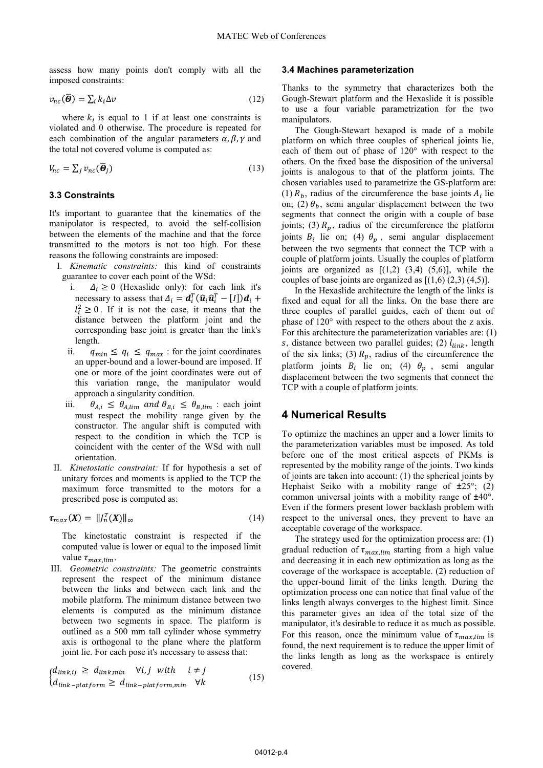assess how many points don't comply with all the imposed constraints:

$$
v_{nc}(\overline{\boldsymbol{\Theta}}) = \sum_{i} k_i \Delta v \tag{12}
$$

where  $k_i$  is equal to 1 if at least one constraints is violated and 0 otherwise. The procedure is repeated for each combination of the angular parameters  $\alpha$ ,  $\beta$ ,  $\gamma$  and the total not covered volume is computed as:

$$
V_{nc} = \sum_{j} v_{nc}(\overline{\boldsymbol{\theta}}_{j})
$$
 (13)

## **3.3 Constraints**

It's important to guarantee that the kinematics of the manipulator is respected, to avoid the self-collision between the elements of the machine and that the force transmitted to the motors is not too high. For these reasons the following constraints are imposed:

- I. *Kinematic constraints:* this kind of constraints guarantee to cover each point of the WSd:
	- i.  $\Delta_i \geq 0$  (Hexaslide only): for each link it's necessary to assess that  $\Delta_i = \mathbf{d}_i^T (\hat{\mathbf{u}}_i \hat{\mathbf{u}}_i^T - [I]) \mathbf{d}_i +$  $l_i^2 \geq 0$ . If it is not the case, it means that the distance between the platform joint and the corresponding base joint is greater than the link's length.
	- ii.  $q_{min} \leq q_i \leq q_{max}$ : for the joint coordinates an upper-bound and a lower-bound are imposed. If one or more of the joint coordinates were out of this variation range, the manipulator would approach a singularity condition.
	- iii.  $\theta_{A,i} \leq \theta_{A,lim}$  and  $\theta_{B,i} \leq \theta_{B,lim}$  : each joint must respect the mobility range given by the constructor. The angular shift is computed with respect to the condition in which the TCP is coincident with the center of the WSd with null orientation.
- II. *Kinetostatic constraint:* If for hypothesis a set of unitary forces and moments is applied to the TCP the maximum force transmitted to the motors for a prescribed pose is computed as:

$$
\tau_{max}(X) = ||J_n^T(X)||_{\infty} \tag{14}
$$

The kinetostatic constraint is respected if the computed value is lower or equal to the imposed limit value  $\tau_{max,lim}$ .

III. *Geometric constraints:* The geometric constraints represent the respect of the minimum distance between the links and between each link and the mobile platform. The minimum distance between two elements is computed as the minimum distance between two segments in space. The platform is outlined as a 500 mm tall cylinder whose symmetry axis is orthogonal to the plane where the platform joint lie. For each pose it's necessary to assess that:

$$
\begin{aligned}\n\{\frac{d_{\text{link},ij}}{\text{min}} &\geq \frac{d_{\text{link},\text{min}}}{\text{min}} \quad \forall i,j \quad \text{with} \quad i \neq j \\
\frac{d_{\text{link}-\text{platform}}}{\text{min}} &\geq \frac{d_{\text{link}-\text{platform},\text{min}}}{\text{min}} \quad \forall k\n\end{aligned} \tag{15}
$$

#### **3.4 Machines parameterization**

Thanks to the symmetry that characterizes both the Gough-Stewart platform and the Hexaslide it is possible to use a four variable parametrization for the two manipulators.

The Gough-Stewart hexapod is made of a mobile platform on which three couples of spherical joints lie, each of them out of phase of 120° with respect to the others. On the fixed base the disposition of the universal joints is analogous to that of the platform joints. The chosen variables used to parametrize the GS-platform are: (1)  $R_b$ , radius of the circumference the base joints  $A_i$  lie on; (2)  $\theta_b$ , semi angular displacement between the two segments that connect the origin with a couple of base joints; (3)  $R_p$ , radius of the circumference the platform joints  $B_i$  lie on; (4)  $\theta_p$ , semi angular displacement between the two segments that connect the TCP with a couple of platform joints. Usually the couples of platform joints are organized as  $[(1,2), (3,4), (5,6)]$ , while the couples of base joints are organized as  $[(1,6) (2,3) (4,5)].$ 

In the Hexaslide architecture the length of the links is fixed and equal for all the links. On the base there are three couples of parallel guides, each of them out of phase of 120° with respect to the others about the z axis. For this architecture the parameterization variables are: (1) s, distance between two parallel guides; (2)  $l_{link}$ , length of the six links; (3)  $R_p$ , radius of the circumference the platform joints  $B_i$  lie on; (4)  $\theta_p$ , semi angular displacement between the two segments that connect the TCP with a couple of platform joints.

# **4 Numerical Results**

To optimize the machines an upper and a lower limits to the parameterization variables must be imposed. As told before one of the most critical aspects of PKMs is represented by the mobility range of the joints. Two kinds of joints are taken into account: (1) the spherical joints by Hephaist Seiko with a mobility range of  $\pm 25^\circ$ ; (2) common universal joints with a mobility range of ±40°. Even if the formers present lower backlash problem with respect to the universal ones, they prevent to have an acceptable coverage of the workspace.

The strategy used for the optimization process are: (1) gradual reduction of  $\tau_{max,lim}$  starting from a high value and decreasing it in each new optimization as long as the coverage of the workspace is acceptable. (2) reduction of the upper-bound limit of the links length. During the optimization process one can notice that final value of the links length always converges to the highest limit. Since this parameter gives an idea of the total size of the manipulator, it's desirable to reduce it as much as possible. For this reason, once the minimum value of  $\tau_{max,lim}$  is found, the next requirement is to reduce the upper limit of the links length as long as the workspace is entirely covered.